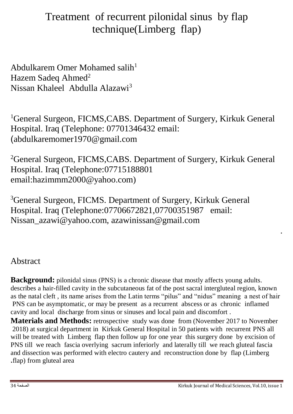# Treatment of recurrent pilonidal sinus by flap technique(Limberg flap)

Abdulkarem Omer Mohamed salih<sup>1</sup> Hazem Sadeq Ahmed<sup>2</sup> Nissan Khaleel Abdulla Alazawi<sup>3</sup>

<sup>1</sup>General Surgeon, FICMS, CABS. Department of Surgery, Kirkuk General Hospital. Iraq (Telephone: 07701346432 email: )abdulkaremomer1970@gmail.com

<sup>2</sup>General Surgeon, FICMS, CABS. Department of Surgery, Kirkuk General Hospital. Iraq (Telephone:07715188801 email:hazimmm2000@yahoo.com)

<sup>3</sup>General Surgeon, FICMS. Department of Surgery, Kirkuk General Hospital. Iraq (Telephone:07706672821,07700351987 email: Nissan\_azawi@yahoo.com, azawinissan@gmail.com

### Abstract

**Background:** pilonidal sinus (PNS) is a chronic disease that mostly affects young adults. describes a hair-filled cavity in the subcutaneous fat of the post sacral intergluteal region, known as the natal cleft , its name arises from the Latin terms "pilus" and "nidus" meaning a nest of hair PNS can be asymptomatic, or may be present as a recurrent abscess or as chronic inflamed cavity and local discharge from sinus or sinuses and local pain and discomfort .

**Materials and Methods:** retrospective study was done from (November 2017 to November 2018) at surgical department in Kirkuk General Hospital in 50 patients with recurrent PNS all will be treated with Limberg flap then follow up for one year this surgery done by excision of PNS till we reach fascia overlying sacrum inferiorly and laterally till we reach gluteal fascia and dissection was performed with electro cautery and reconstruction done by flap (Limberg **.**flap) from gluteal area

.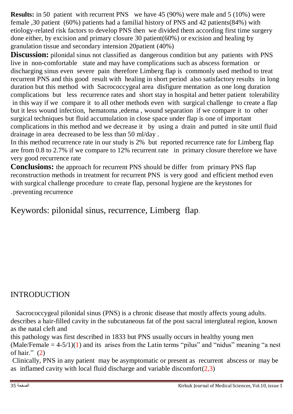**Results:** in 50 patient with recurrent PNS we have 45 (90%) were male and 5 (10%) were female ,30 patient (60%) patients had a familial history of PNS and 42 patients(84%) with etiology-related risk factors to develop PNS then we divided them according first time surgery done either, by excision and primary closure 30 patient(60%) or excision and healing by granulation tissue and secondary intension 20patient (40%)

**Discussion:** pilonidal sinus not classified as dangerous condition but any patients with PNS live in non-comfortable state and may have complications such as abscess formation or discharging sinus even severe pain therefore Limberg flap is commonly used method to treat recurrent PNS and this good result with healing in short period also satisfactory results in long duration but this method with Sacrococcygeal area disfigure mentation as one long duration complications but less recurrence rates and short stay in hospital and better patient tolerability in this way if we compare it to all other methods even with surgical challenge to create a flap but it less wound infection, hematoma ,edema , wound separation if we compare it to other surgical techniques but fluid accumulation in close space under flap is one of important complications in this method and we decrease it by using a drain and putted in site until fluid drainage in area decreased to be less than 50 ml/day .

In this method recurrence rate in our study is 2% but reported recurrence rate for Limberg flap are from 0.8 to 2.7% if we compare to 12% recurrent rate in primary closure therefore we have very good recurrence rate

**Conclusions:** the approach for recurrent PNS should be differ from primary PNS flap reconstruction methods in treatment for recurrent PNS is very good and efficient method even with surgical challenge procedure to create flap, personal hygiene are the keystones for .preventing recurrence

Keywords: pilonidal sinus, recurrence, Limberg flap.

#### INTRODUCTION

 Sacrococcygeal pilonidal sinus (PNS) is a chronic disease that mostly affects young adults. describes a hair-filled cavity in the subcutaneous fat of the post sacral intergluteal region, known as the natal cleft and

this pathology was first described in 1833 but PNS usually occurs in healthy young men  $(Male/Female = 4-5/1)(1)$  and its arises from the Latin terms "pilus" and "nidus" meaning "a nest of hair."  $(2)$ 

Clinically, PNS in any patient may be asymptomatic or present as recurrent abscess or may be as inflamed cavity with local fluid discharge and variable discomfort $(2,3)$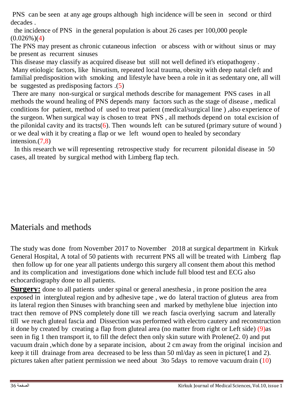PNS can be seen at any age groups although high incidence will be seen in second or third decades .

 the incidence of PNS in the general population is about 26 cases per 100,000 people  $(0.026\%)$ (4)

The PNS may present as chronic cutaneous infection or abscess with or without sinus or may be present as recurrent sinuses

This disease may classify as acquired disease but still not well defined it's etiopathogeny .

Many etiologic factors, like hirsutism, repeated local trauma, obesity with deep natal cleft and familial predisposition with smoking and lifestyle have been a role in it as sedentary one, all will be suggested as predisposing factors .(5)

There are many non-surgical or surgical methods describe for management PNS cases in all methods the wound healing of PNS depends many factors such as the stage of disease , medical conditions for patient, method of used to treat patient (medical/surgical line ) ,also experience of the surgeon. When surgical way is chosen to treat PNS , all methods depend on total excision of the pilonidal cavity and its tracts( $6$ ). Then wounds left can be sutured (primary suture of wound) or we deal with it by creating a flap or we left wound open to healed by secondary intension.(7,8)

In this research we will representing retrospective study for recurrent pilonidal disease in 50 cases, all treated by surgical method with Limberg flap tech.

### Materials and methods

The study was done from November 2017 to November 2018 at surgical department in Kirkuk General Hospital, A total of 50 patients with recurrent PNS all will be treated with Limberg flap then follow up for one year all patients undergo this surgery all consent them about this method and its complication and investigations done which include full blood test and ECG also echocardiography done to all patients.

**Surgery:** done to all patients under spinal or general anesthesia, in prone position the area exposed in intergluteal region and by adhesive tape , we do lateral traction of gluteus area from its lateral region then Sinuses with branching seen and marked by methylene blue injection into tract then remove of PNS completely done till we reach fascia overlying sacrum and laterally till we reach gluteal fascia and Dissection was performed with electro cautery and reconstruction it done by created by creating a flap from gluteal area (no matter from right or Left side) (9)as seen in fig 1 then transport it, to fill the defect then only skin suture with Prolene(2. 0) and put vacuum drain ,which done by a separate incision, about 2 cm away from the original incision and keep it till drainage from area decreased to be less than 50 ml/day as seen in picture(1 and 2). pictures taken after patient permission we need about 3to 5days to remove vacuum drain (10)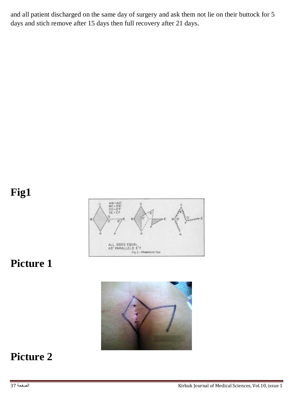and all patient discharged on the same day of surgery and ask them not lie on their buttock for 5 days and stich remove after 15 days then full recovery after 21 days.

# **Fig1**



### **Picture 1**



# **Picture 2**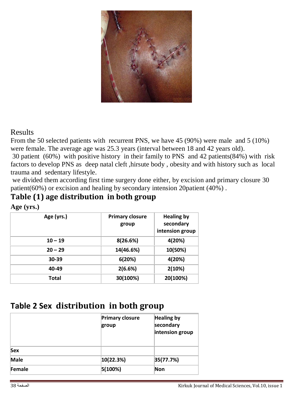

#### Results

From the 50 selected patients with recurrent PNS, we have 45 (90%) were male and 5 (10%) were female. The average age was 25.3 years (interval between 18 and 42 years old).

30 patient (60%) with positive history in their family to PNS and 42 patients(84%) with risk factors to develop PNS as deep natal cleft ,hirsute body , obesity and with history such as local trauma and sedentary lifestyle.

we divided them according first time surgery done either, by excision and primary closure 30 patient(60%) or excision and healing by secondary intension 20patient (40%) .

#### **Table (1) age distribution in both group**

**Age (yrs.)**

| Age (yrs.) | <b>Primary closure</b><br>group | <b>Healing by</b><br>secondary<br>intension group |
|------------|---------------------------------|---------------------------------------------------|
| $10 - 19$  | 8(26.6%)                        | 4(20%)                                            |
| $20 - 29$  | 14(46.6%)                       | 10(50%)                                           |
| 30-39      | 6(20%)                          | 4(20%)                                            |
| 40-49      | 2(6.6%)                         | 2(10%)                                            |
| Total      | 30(100%)                        | 20(100%)                                          |

#### **Table 2 Sex distribution in both group**

|             | <b>Primary closure</b><br>group | <b>Healing by</b><br>secondary<br>intension group |
|-------------|---------------------------------|---------------------------------------------------|
| Sex         |                                 |                                                   |
| <b>Male</b> | 10(22.3%)                       | 35(77.7%)                                         |
| Female      | 5(100%)                         | Non                                               |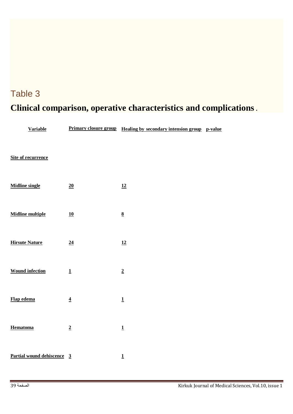# Table 3 **Clinical comparison, operative characteristics and complications .**

| <b>Variable</b>                   |                          | <u>Primary closure group Healing by secondary intension group p-value</u> |  |
|-----------------------------------|--------------------------|---------------------------------------------------------------------------|--|
| <b>Site of recurrence</b>         |                          |                                                                           |  |
| <b>Midline single</b>             | 20                       | 12                                                                        |  |
| <b>Midline multiple</b>           | 10                       | $\underline{8}$                                                           |  |
| <b>Hirsute Nature</b>             | 24                       | 12                                                                        |  |
| <b>Wound infection</b>            | $\underline{\mathbf{1}}$ | $\overline{2}$                                                            |  |
| Flap edema                        | $\overline{\mathbf{4}}$  | $\underline{\mathbf{1}}$                                                  |  |
| <b>Hematoma</b>                   | $\overline{2}$           | $\underline{\mathbf{1}}$                                                  |  |
| <u>Partial wound dehiscence 3</u> |                          | $\overline{1}$                                                            |  |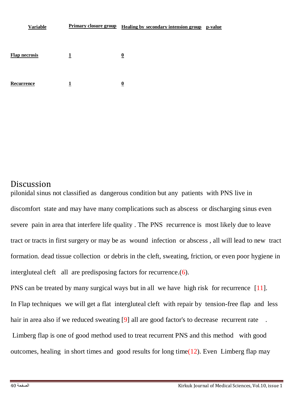| <b>Variable</b>      |   | Primary closure group Healing by secondary intension group p-value |  |
|----------------------|---|--------------------------------------------------------------------|--|
|                      |   |                                                                    |  |
| <b>Flap necrosis</b> | 1 | $\overline{\mathbf{0}}$                                            |  |
| Recurrence           | 1 | $\overline{\mathbf{0}}$                                            |  |

#### **Discussion**

pilonidal sinus not classified as dangerous condition but any patients with PNS live in discomfort state and may have many complications such as abscess or discharging sinus even severe pain in area that interfere life quality . The PNS recurrence is most likely due to leave tract or tracts in first surgery or may be as wound infection or abscess , all will lead to new tract formation. dead tissue collection or debris in the cleft, sweating, friction, or even poor hygiene in intergluteal cleft all are predisposing factors for recurrence.(6).

PNS can be treated by many surgical ways but in all we have high risk for recurrence [11]. In Flap techniques we will get a flat intergluteal cleft with repair by tension-free flap and less hair in area also if we reduced sweating [9] all are good factor's to decrease recurrent rate Limberg flap is one of good method used to treat recurrent PNS and this method with good outcomes, healing in short times and good results for long time( $12$ ). Even Limberg flap may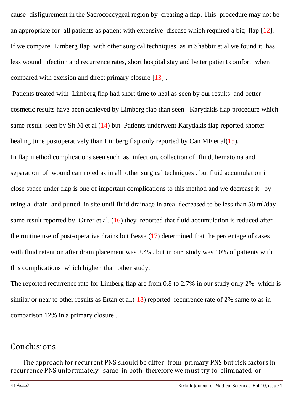cause disfigurement in the Sacrococcygeal region by creating a flap. This procedure may not be an appropriate for all patients as patient with extensive disease which required a big flap [12]. If we compare Limberg flap with other surgical techniques as in Shabbir et al we found it has less wound infection and recurrence rates, short hospital stay and better patient comfort when compared with excision and direct primary closure [13] .

Patients treated with Limberg flap had short time to heal as seen by our results and better cosmetic results have been achieved by Limberg flap than seen Karydakis flap procedure which same result seen by Sit M et al (14) but Patients underwent Karydakis flap reported shorter healing time postoperatively than Limberg flap only reported by Can MF et al( $15$ ).

In flap method complications seen such as infection, collection of fluid, hematoma and separation of wound can noted as in all other surgical techniques . but fluid accumulation in close space under flap is one of important complications to this method and we decrease it by using a drain and putted in site until fluid drainage in area decreased to be less than 50 ml/day same result reported by Gurer et al.  $(16)$  they reported that fluid accumulation is reduced after the routine use of post-operative drains but Bessa  $(17)$  determined that the percentage of cases with fluid retention after drain placement was 2.4%. but in our study was 10% of patients with this complications which higher than other study.

The reported recurrence rate for Limberg flap are from 0.8 to 2.7% in our study only 2% which is similar or near to other results as Ertan et al.  $(18)$  reported recurrence rate of 2% same to as in comparison 12% in a primary closure .

#### Conclusions

The approach for recurrent PNS should be differ from primary PNS but risk factors in recurrence PNS unfortunately same in both therefore we must try to eliminated or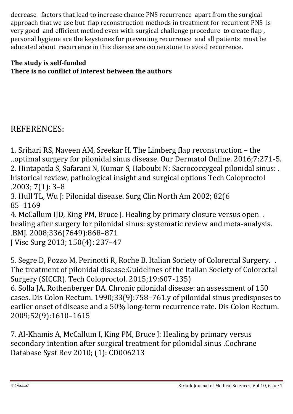decrease factors that lead to increase chance PNS recurrence apart from the surgical approach that we use but flap reconstruction methods in treatment for recurrent PNS is very good and efficient method even with surgical challenge procedure to create flap , personal hygiene are the keystones for preventing recurrence and all patients must be educated about recurrence in this disease are cornerstone to avoid recurrence.

#### **The study is self-funded There is no conflict of interest between the authors**

### REFERENCES:

1. Srihari RS, Naveen AM, Sreekar H. The Limberg flap reconstruction – the ..optimal surgery for pilonidal sinus disease. Our Dermatol Online. 2016;7:271-5. 2. Hintapatla S, Safarani N, Kumar S, Haboubi N: Sacrococcygeal pilonidal sinus: . historical review, pathological insight and surgical options Tech Coloproctol .2003; 7(1): 3–8 3. Hull TL, Wu J: Pilonidal disease. Surg Clin North Am 2002; 82(6 85–1169 4. McCallum IJD, King PM, Bruce J. Healing by primary closure versus open . healing after surgery for pilonidal sinus: systematic review and meta-analysis. .BMJ. 2008;336(7649):868–871

J Visc Surg 2013; 150(4): 237–47

5. Segre D, Pozzo M, Perinotti R, Roche B. Italian Society of Colorectal Surgery. . The treatment of pilonidal disease:Guidelines of the Italian Society of Colorectal Surgery (SICCR). Tech Coloproctol. 2015;19:607-135)

6. Solla JA, Rothenberger DA. Chronic pilonidal disease: an assessment of 150 cases. Dis Colon Rectum. 1990;33(9):758–761.y of pilonidal sinus predisposes to earlier onset of disease and a 50% long-term recurrence rate. Dis Colon Rectum. 2009;52(9):1610–1615

7. Al-Khamis A, McCallum I, King PM, Bruce J: Healing by primary versus secondary intention after surgical treatment for pilonidal sinus .Cochrane Database Syst Rev 2010; (1): CD006213